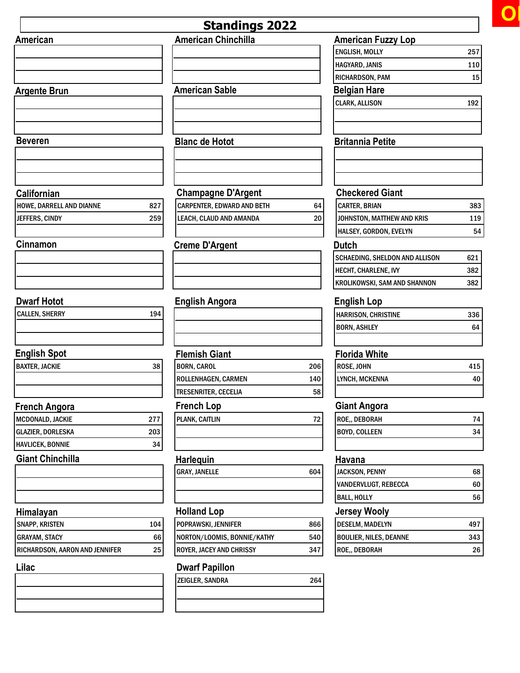

|                                |     | <b>Standings 2022</b>       |     |                                           |           |
|--------------------------------|-----|-----------------------------|-----|-------------------------------------------|-----------|
| American                       |     | <b>American Chinchilla</b>  |     | <b>American Fuzzy Lop</b>                 |           |
|                                |     |                             |     | <b>ENGLISH, MOLLY</b>                     | 257       |
|                                |     |                             |     | HAGYARD, JANIS                            | 110       |
|                                |     |                             |     | RICHARDSON, PAM                           | 15        |
| <b>Argente Brun</b>            |     | <b>American Sable</b>       |     | <b>Belgian Hare</b>                       |           |
|                                |     |                             |     | <b>CLARK, ALLISON</b>                     | 192       |
| <b>Beveren</b>                 |     | <b>Blanc de Hotot</b>       |     | <b>Britannia Petite</b>                   |           |
|                                |     |                             |     |                                           |           |
| Californian                    |     | <b>Champagne D'Argent</b>   |     | <b>Checkered Giant</b>                    |           |
| HOWE, DARRELL AND DIANNE       | 827 | CARPENTER, EDWARD AND BETH  | 64  | <b>CARTER, BRIAN</b>                      | 383       |
| JEFFERS, CINDY                 | 259 | LEACH, CLAUD AND AMANDA     | 20  | JOHNSTON, MATTHEW AND KRIS                | 119       |
|                                |     |                             |     | HALSEY, GORDON, EVELYN                    | 54        |
| Cinnamon                       |     | <b>Creme D'Argent</b>       |     | <b>Dutch</b>                              |           |
|                                |     |                             |     | SCHAEDING, SHELDON AND ALLISON            | 621       |
|                                |     |                             |     | HECHT, CHARLENE, IVY                      | 382       |
|                                |     |                             |     | KROLIKOWSKI, SAM AND SHANNON              | 382       |
| <b>Dwarf Hotot</b>             |     |                             |     |                                           |           |
| <b>CALLEN, SHERRY</b>          | 194 | <b>English Angora</b>       |     | <b>English Lop</b><br>HARRISON, CHRISTINE |           |
|                                |     |                             |     | <b>BORN, ASHLEY</b>                       | 336<br>64 |
|                                |     |                             |     |                                           |           |
| <b>English Spot</b>            |     | <b>Flemish Giant</b>        |     | <b>Florida White</b>                      |           |
| <b>BAXTER, JACKIE</b>          | 38  | <b>BORN, CAROL</b>          | 206 | ROSE, JOHN                                | 415       |
|                                |     | ROLLENHAGEN, CARMEN         | 140 | LYNCH, MCKENNA                            | 40        |
|                                |     | <b>TRESENRITER, CECELIA</b> | 58  |                                           |           |
| French Angora                  |     | <b>French Lop</b>           |     | <b>Giant Angora</b>                       |           |
| MCDONALD, JACKIE               | 277 | <b>PLANK, CAITLIN</b>       | 72  | ROE,, DEBORAH                             | 74        |
| GLAZIER, DORLESKA              | 203 |                             |     | <b>BOYD, COLLEEN</b>                      | 34        |
| HAVLICEK, BONNIE               | 34  |                             |     |                                           |           |
| <b>Giant Chinchilla</b>        |     | <b>Harleguin</b>            |     | Havana                                    |           |
|                                |     | <b>GRAY, JANELLE</b>        | 604 | <b>JACKSON, PENNY</b>                     | 68        |
|                                |     |                             |     | VANDERVLUGT, REBECCA                      | 60        |
|                                |     |                             |     | <b>BALL, HOLLY</b>                        | 56        |
| Himalayan                      |     | <b>Holland Lop</b>          |     | <b>Jersey Wooly</b>                       |           |
| <b>SNAPP, KRISTEN</b>          | 104 | POPRAWSKI, JENNIFER         | 866 | <b>DESELM, MADELYN</b>                    | 497       |
| <b>GRAYAM, STACY</b>           | 66  | NORTON/LOOMIS, BONNIE/KATHY | 540 | <b>BOULIER, NILES, DEANNE</b>             | 343       |
| RICHARDSON, AARON AND JENNIFER | 25  | ROYER, JACEY AND CHRISSY    | 347 | ROE,, DEBORAH                             | 26        |
| Lilac                          |     | <b>Dwarf Papillon</b>       |     |                                           |           |
|                                |     | ZEIGLER, SANDRA             | 264 |                                           |           |
|                                |     |                             |     |                                           |           |
|                                |     |                             |     |                                           |           |
|                                |     |                             |     |                                           |           |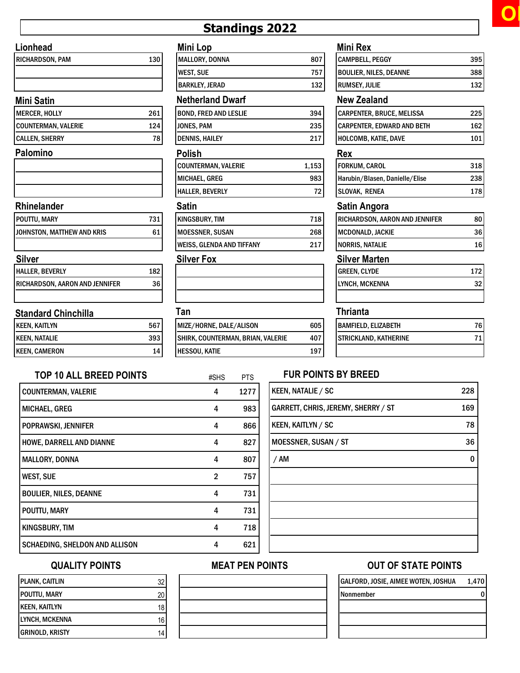# Standings 2022

## Lionhead

| <b>RICHARDSON, PAM</b> | 13 <sub>0</sub> |
|------------------------|-----------------|
|                        |                 |
|                        |                 |

## Mini Satin

| MERCER, HOLLY         | 261 |
|-----------------------|-----|
| COUNTERMAN, VALERIE   | 124 |
| <b>CALLEN, SHERRY</b> | 78. |

### Palomino

### Rhinelander

| POUTTU, MARY               | 731 |
|----------------------------|-----|
| JOHNSTON, MATTHEW AND KRIS | 61  |
|                            |     |
| Silver                     |     |

| UIIVU                          |     |
|--------------------------------|-----|
| HALLER, BEVERLY                | 182 |
| RICHARDSON, AARON AND JENNIFER | 361 |

### Standard Chinchilla

| <b>KEEN, KAITLYN</b> | 567 |
|----------------------|-----|
| <b>KEEN, NATALIE</b> | 393 |
| <b>KEEN, CAMERON</b> |     |

| Mini Lop       |     |
|----------------|-----|
| MALLORY, DONNA | 807 |
| WEST, SUE      | 757 |
| BARKLEY, JERAD | 132 |
|                |     |

### Netherland Dwarf New Zealand

| <b>BOND, FRED AND LESLIE</b> | 394   | <b>CARP</b>      |
|------------------------------|-------|------------------|
| JONES, PAM                   | 235   | <b>CARP</b>      |
| <b>DENNIS, HAILEY</b>        | 217   | HOLC             |
| Polish                       |       | Rex              |
| <b>COUNTERMAN, VALERIE</b>   | 1,153 | <b>FORK</b>      |
| MICHAEL, GREG                | 983   | Harut            |
| <b>HALLER, BEVERLY</b>       | 72    | <b>SLOV</b>      |
| <b>Satin</b>                 |       | Sati             |
| <b>KINGSBURY, TIM</b>        | 718   | <b>RICH</b>      |
| <b>MOESSNER, SUSAN</b>       | 268   | MCD <sub>0</sub> |
| l WEISS. GLENDA AND TIFFANY  | 217   | <b>NORR</b>      |

| Tan                     |     |
|-------------------------|-----|
| MIZE/HORNE, DALE/ALISON | 605 |

 $#SHS$ 

| <b>IVILLE/ NUNIVE, DALE/ ALISUIV</b> | ບບວ |
|--------------------------------------|-----|
| SHIRK, COUNTERMAN, BRIAN, VALERIE    | 407 |
| <b>HESSOU, KATIE</b>                 | 197 |

|    | <b>Mini Rex</b>               |     |
|----|-------------------------------|-----|
| )7 | <b>CAMPBELL, PEGGY</b>        | 395 |
| 57 | <b>BOULIER, NILES, DEANNE</b> | 388 |
| 32 | <b>RUMSEY, JULIE</b>          | 132 |
|    |                               |     |

| CARPENTER, BRUCE, MELISSA         | 225 |
|-----------------------------------|-----|
| <b>CARPENTER, EDWARD AND BETH</b> | 162 |
| HOLCOMB, KATIE, DAVE              | 101 |

| <b>FORKUM, CAROL</b>           | 318   |
|--------------------------------|-------|
| Harubin/Blasen, Danielle/Elise | 238   |
| <b>SLOVAK, RENEA</b>           | 178 l |

## Satin Angora

| <b>RICHARDSON, AARON AND JENNIFER</b> |  |
|---------------------------------------|--|
| MCDONALD, JACKIE                      |  |
| NORRIS, NATALIE                       |  |

## Silver Fox Silver Marten

| <b>GREEN, CLYDE</b>   | 172 |
|-----------------------|-----|
| <b>LYNCH, MCKENNA</b> |     |
|                       |     |

## Thrianta

| <b>IBAMFIELD. ELIZABETH</b>  |  |
|------------------------------|--|
| <b>STRICKLAND, KATHERINE</b> |  |
|                              |  |

## TOP 10 ALL BREED POINTS  $_{\#SHS}$   $_{\#SHS}$   $_{\#S}$  FUR POINTS BY BREED

| <b>COUNTERMAN, VALERIE</b>      | 4              | 1277 |
|---------------------------------|----------------|------|
| MICHAEL, GREG                   | 4              | 983  |
| <b>POPRAWSKI, JENNIFER</b>      | 4              | 866  |
| <b>HOWE, DARRELL AND DIANNE</b> | 4              | 827  |
| <b>MALLORY, DONNA</b>           | 4              | 807  |
| <b>WEST, SUE</b>                | $\overline{2}$ | 757  |
| <b>BOULIER, NILES, DEANNE</b>   | 4              | 731  |
| POUTTU, MARY                    | 4              | 731  |
| KINGSBURY, TIM                  | 4              | 718  |
| SCHAEDING, SHELDON AND ALLISON  | 4              | 621  |
|                                 |                |      |

| <b>KEEN, NATALIE / SC</b>           | 228 |
|-------------------------------------|-----|
| GARRETT, CHRIS, JEREMY, SHERRY / ST | 169 |
| <b>KEEN, KAITLYN / SC</b>           | 78  |
| MOESSNER, SUSAN / ST                | 36  |
| / AM                                | 0   |
|                                     |     |
|                                     |     |
|                                     |     |
|                                     |     |
|                                     |     |

## QUALITY POINTS

| PLANK, CAITLIN  | 32 |
|-----------------|----|
| POUTTU, MARY    |    |
| KEEN, KAITLYN   |    |
| LYNCH, MCKENNA  | 16 |
| GRINOLD, KRISTY |    |

## MEAT PEN POINTS OUT OF STATE POINTS

| GALFORD, JOSIE, AIMEE WOTEN, JOSHUA | 1,470 |
|-------------------------------------|-------|
| Nonmember                           |       |
|                                     |       |
|                                     |       |
|                                     |       |